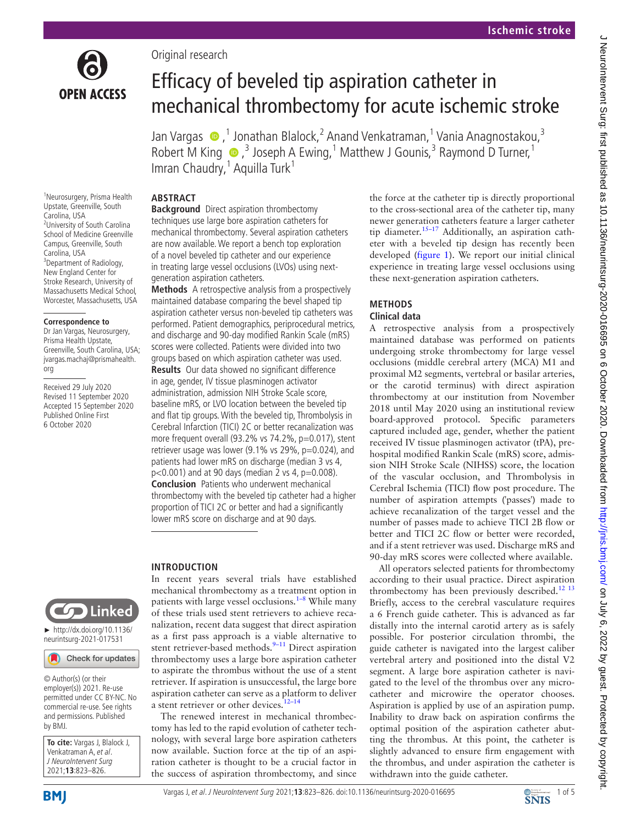

Original research

# Efficacy of beveled tip aspiration catheter in mechanical thrombectomy for acute ischemic stroke

JanVargas  $\bigcirc$ , 1 Jonathan Blalock, 2 Anand Venkatraman, 1 Vania Anagnostakou, 3 RobertM King  $\bigcirc$ , 3 Joseph A Ewing, <sup>1</sup> Matthew J Gounis, <sup>3</sup> Raymond D Turner, <sup>1</sup> Imran Chaudry,<sup>1</sup> Aquilla Turk<sup>1</sup>

## **ABSTRACT**

1 Neurosurgery, Prisma Health Upstate, Greenville, South Carolina, USA 2 University of South Carolina School of Medicine Greenville Campus, Greenville, South Carolina, USA <sup>3</sup>Department of Radiology, New England Center for Stroke Research, University of Massachusetts Medical School, Worcester, Massachusetts, USA

#### **Correspondence to**

Dr Jan Vargas, Neurosurgery, Prisma Health Upstate, Greenville, South Carolina, USA; jvargas.machaj@prismahealth. org

Received 29 July 2020 Revised 11 September 2020 Accepted 15 September 2020 Published Online First 6 October 2020



► [http://dx.doi.org/10.1136/](http://dx.doi.org/10.1136/neurintsurg-2021-017531) [neurintsurg-2021-017531](http://dx.doi.org/10.1136/neurintsurg-2021-017531)

Check for updates

© Author(s) (or their employer(s)) 2021. Re-use permitted under CC BY-NC. No commercial re-use. See rights and permissions. Published by BMJ.

**To cite:** Vargas J, Blalock J, Venkatraman A, et al. J NeuroIntervent Surg 2021;**13**:823–826.

**Background** Direct aspiration thrombectomy techniques use large bore aspiration catheters for mechanical thrombectomy. Several aspiration catheters are now available. We report a bench top exploration of a novel beveled tip catheter and our experience in treating large vessel occlusions (LVOs) using nextgeneration aspiration catheters.

**Methods** A retrospective analysis from a prospectively maintained database comparing the bevel shaped tip aspiration catheter versus non-beveled tip catheters was performed. Patient demographics, periprocedural metrics, and discharge and 90-day modified Rankin Scale (mRS) scores were collected. Patients were divided into two groups based on which aspiration catheter was used.

**Results** Our data showed no significant difference in age, gender, IV tissue plasminogen activator administration, admission NIH Stroke Scale score, baseline mRS, or LVO location between the beveled tip and flat tip groups. With the beveled tip, Thrombolysis in Cerebral Infarction (TICI) 2C or better recanalization was more frequent overall (93.2% vs 74.2%, p=0.017), stent retriever usage was lower (9.1% vs 29%, p=0.024), and patients had lower mRS on discharge (median 3 vs 4,  $p<0.001$ ) and at 90 days (median 2 vs 4,  $p=0.008$ ). **Conclusion** Patients who underwent mechanical thrombectomy with the beveled tip catheter had a higher proportion of TICI 2C or better and had a significantly lower mRS score on discharge and at 90 days.

# **INTRODUCTION**

In recent years several trials have established mechanical thrombectomy as a treatment option in patients with large vessel occlusions. $1-8$  While many of these trials used stent retrievers to achieve recanalization, recent data suggest that direct aspiration as a first pass approach is a viable alternative to stent retriever-based methods. $9-11$  Direct aspiration thrombectomy uses a large bore aspiration catheter to aspirate the thrombus without the use of a stent retriever. If aspiration is unsuccessful, the large bore aspiration catheter can serve as a platform to deliver a stent retriever or other devices. $12-14$ 

The renewed interest in mechanical thrombectomy has led to the rapid evolution of catheter technology, with several large bore aspiration catheters now available. Suction force at the tip of an aspiration catheter is thought to be a crucial factor in the success of aspiration thrombectomy, and since

the force at the catheter tip is directly proportional to the cross-sectional area of the catheter tip, many newer generation catheters feature a larger catheter tip diameter.<sup>[15–17](#page-4-2)</sup> Additionally, an aspiration catheter with a beveled tip design has recently been developed [\(figure](#page-1-0) 1). We report our initial clinical experience in treating large vessel occlusions using these next-generation aspiration catheters.

# **METHODS Clinical data**

A retrospective analysis from a prospectively maintained database was performed on patients undergoing stroke thrombectomy for large vessel occlusions (middle cerebral artery (MCA) M1 and proximal M2 segments, vertebral or basilar arteries, or the carotid terminus) with direct aspiration thrombectomy at our institution from November 2018 until May 2020 using an institutional review board-approved protocol. Specific parameters captured included age, gender, whether the patient received IV tissue plasminogen activator (tPA), prehospital modified Rankin Scale (mRS) score, admission NIH Stroke Scale (NIHSS) score, the location of the vascular occlusion, and Thrombolysis in Cerebral Ischemia (TICI) flow post procedure. The number of aspiration attempts ('passes') made to achieve recanalization of the target vessel and the number of passes made to achieve TICI 2B flow or better and TICI 2C flow or better were recorded, and if a stent retriever was used. Discharge mRS and 90-day mRS scores were collected where available.

All operators selected patients for thrombectomy according to their usual practice. Direct aspiration thrombectomy has been previously described.<sup>12 13</sup> Briefly, access to the cerebral vasculature requires a 6 French guide catheter. This is advanced as far distally into the internal carotid artery as is safely possible. For posterior circulation thrombi, the guide catheter is navigated into the largest caliber vertebral artery and positioned into the distal V2 segment. A large bore aspiration catheter is navigated to the level of the thrombus over any microcatheter and microwire the operator chooses. Aspiration is applied by use of an aspiration pump. Inability to draw back on aspiration confirms the optimal position of the aspiration catheter abutting the thrombus. At this point, the catheter is slightly advanced to ensure firm engagement with the thrombus, and under aspiration the catheter is withdrawn into the guide catheter.

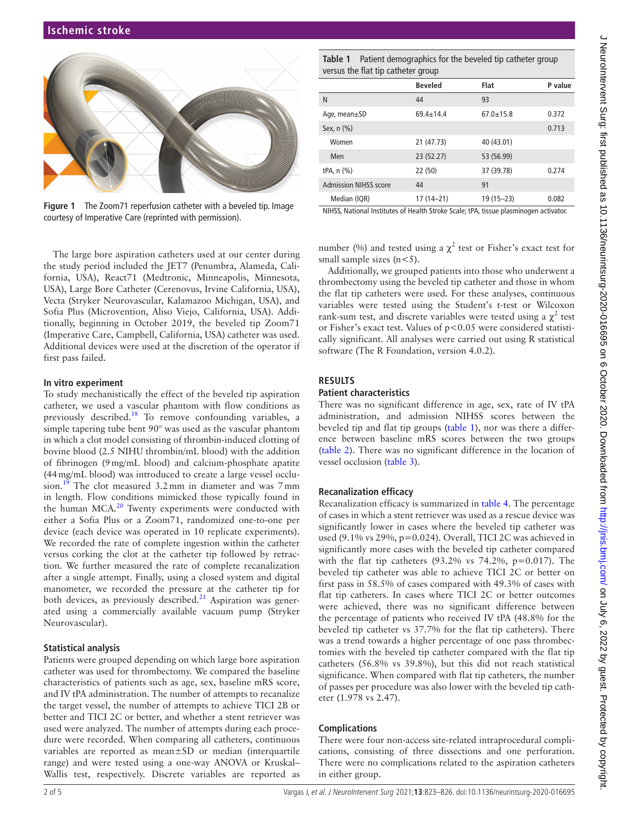

**Figure 1** The Zoom71 reperfusion catheter with a beveled tip. Image courtesy of Imperative Care (reprinted with permission).

<span id="page-1-0"></span>The large bore aspiration catheters used at our center during the study period included the JET7 (Penumbra, Alameda, California, USA), React71 (Medtronic, Minneapolis, Minnesota, USA), Large Bore Catheter (Cerenovus, Irvine California, USA), Vecta (Stryker Neurovascular, Kalamazoo Michigan, USA), and Sofia Plus (Microvention, Aliso Viejo, California, USA). Additionally, beginning in October 2019, the beveled tip Zoom71 (Imperative Care, Campbell, California, USA) catheter was used. Additional devices were used at the discretion of the operator if first pass failed.

## **In vitro experiment**

To study mechanistically the effect of the beveled tip aspiration catheter, we used a vascular phantom with flow conditions as previously described[.18](#page-4-3) To remove confounding variables, a simple tapering tube bent 90° was used as the vascular phantom in which a clot model consisting of thrombin-induced clotting of bovine blood (2.5 NIHU thrombin/mL blood) with the addition of fibrinogen (9mg/mL blood) and calcium-phosphate apatite (44mg/mL blood) was introduced to create a large vessel occlusion.<sup>19</sup> The clot measured 3.2mm in diameter and was 7mm in length. Flow conditions mimicked those typically found in the human MCA.<sup>20</sup> Twenty experiments were conducted with either a Sofia Plus or a Zoom71, randomized one-to-one per device (each device was operated in 10 replicate experiments). We recorded the rate of complete ingestion within the catheter versus corking the clot at the catheter tip followed by retraction. We further measured the rate of complete recanalization after a single attempt. Finally, using a closed system and digital manometer, we recorded the pressure at the catheter tip for both devices, as previously described. $21$  Aspiration was generated using a commercially available vacuum pump (Stryker Neurovascular).

## **Statistical analysis**

Patients were grouped depending on which large bore aspiration catheter was used for thrombectomy. We compared the baseline characteristics of patients such as age, sex, baseline mRS score, and IV tPA administration. The number of attempts to recanalize the target vessel, the number of attempts to achieve TICI 2B or better and TICI 2C or better, and whether a stent retriever was used were analyzed. The number of attempts during each procedure were recorded. When comparing all catheters, continuous variables are reported as mean±SD or median (interquartile range) and were tested using a one-way ANOVA or Kruskal– Wallis test, respectively. Discrete variables are reported as

<span id="page-1-1"></span>**Table 1** Patient demographics for the beveled tip catheter group versus the flat tip catheter group

|                              | <b>Beveled</b>  | Flat            | P value |
|------------------------------|-----------------|-----------------|---------|
| N                            | 44              | 93              |         |
| Age, mean±SD                 | $69.4 \pm 14.4$ | $67.0 \pm 15.8$ | 0.372   |
| Sex, $n$ $(\%)$              |                 |                 | 0.713   |
| Women                        | 21 (47.73)      | 40 (43.01)      |         |
| Men                          | 23 (52.27)      | 53 (56.99)      |         |
| tPA, $n$ $(\%)$              | 22 (50)         | 37 (39.78)      | 0.274   |
| <b>Admission NIHSS score</b> | 44              | 91              |         |
| Median (IQR)                 | $17(14-21)$     | $19(15 - 23)$   | 0.082   |

NIHSS, National Institutes of Health Stroke Scale; tPA, tissue plasminogen activator.

number (%) and tested using a  $\chi^2$  test or Fisher's exact test for small sample sizes  $(n<5)$ .

Additionally, we grouped patients into those who underwent a thrombectomy using the beveled tip catheter and those in whom the flat tip catheters were used. For these analyses, continuous variables were tested using the Student's t-test or Wilcoxon rank-sum test, and discrete variables were tested using a  $\chi^2$  test or Fisher's exact test. Values of p<0.05 were considered statistically significant. All analyses were carried out using R statistical software (The R Foundation, version 4.0.2).

## **RESULTS**

## **Patient characteristics**

There was no significant difference in age, sex, rate of IV tPA administration, and admission NIHSS scores between the beveled tip and flat tip groups ([table](#page-1-1) 1), nor was there a difference between baseline mRS scores between the two groups ([table](#page-2-0) 2). There was no significant difference in the location of vessel occlusion ([table](#page-2-1) 3).

## **Recanalization efficacy**

Recanalization efficacy is summarized in [table](#page-2-2) 4. The percentage of cases in which a stent retriever was used as a rescue device was significantly lower in cases where the beveled tip catheter was used (9.1% vs 29%, p=0.024). Overall, TICI 2C was achieved in significantly more cases with the beveled tip catheter compared with the flat tip catheters  $(93.2\% \text{ vs } 74.2\%, \text{ p}=0.017)$ . The beveled tip catheter was able to achieve TICI 2C or better on first pass in 58.5% of cases compared with 49.3% of cases with flat tip catheters. In cases where TICI 2C or better outcomes were achieved, there was no significant difference between the percentage of patients who received IV tPA (48.8% for the beveled tip catheter vs 37.7% for the flat tip catheters). There was a trend towards a higher percentage of one pass thrombectomies with the beveled tip catheter compared with the flat tip catheters (56.8% vs 39.8%), but this did not reach statistical significance. When compared with flat tip catheters, the number of passes per procedure was also lower with the beveled tip catheter (1.978 vs 2.47).

## **Complications**

There were four non-access site-related intraprocedural complications, consisting of three dissections and one perforation. There were no complications related to the aspiration catheters in either group.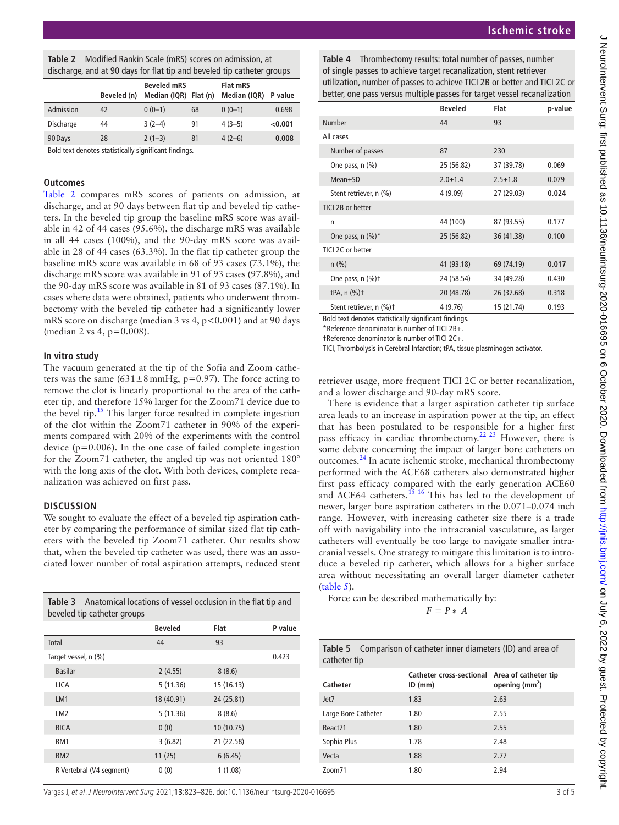<span id="page-2-0"></span>

| <b>Table 2</b> Modified Rankin Scale (mRS) scores on admission, at     |
|------------------------------------------------------------------------|
| discharge, and at 90 days for flat tip and beveled tip catheter groups |

|           | .           |                                             |    |                                 |         |
|-----------|-------------|---------------------------------------------|----|---------------------------------|---------|
|           | Beveled (n) | <b>Beveled mRS</b><br>Median (IQR) Flat (n) |    | <b>Flat mRS</b><br>Median (IQR) | P value |
| Admission | 42          | $0(0-1)$                                    | 68 | $0(0-1)$                        | 0.698   |
| Discharge | 44          | $3(2-4)$                                    | 91 | $4(3-5)$                        | < 0.001 |
| 90 Days   | 28          | $2(1-3)$                                    | 81 | $4(2-6)$                        | 0.008   |

Bold text denotes statistically significant findings.

## **Outcomes**

[Table](#page-2-0) 2 compares mRS scores of patients on admission, at discharge, and at 90 days between flat tip and beveled tip catheters. In the beveled tip group the baseline mRS score was available in 42 of 44 cases (95.6%), the discharge mRS was available in all 44 cases (100%), and the 90-day mRS score was available in 28 of 44 cases (63.3%). In the flat tip catheter group the baseline mRS score was available in 68 of 93 cases (73.1%), the discharge mRS score was available in 91 of 93 cases (97.8%), and the 90-day mRS score was available in 81 of 93 cases (87.1%). In cases where data were obtained, patients who underwent thrombectomy with the beveled tip catheter had a significantly lower mRS score on discharge (median  $3$  vs  $4$ ,  $p < 0.001$ ) and at 90 days (median 2 vs 4, p=0.008).

#### **In vitro study**

The vacuum generated at the tip of the Sofia and Zoom catheters was the same  $(631 \pm 8 \text{ mmHg}, \text{p}=0.97)$ . The force acting to remove the clot is linearly proportional to the area of the catheter tip, and therefore 15% larger for the Zoom71 device due to the bevel tip.<sup>15</sup> This larger force resulted in complete ingestion of the clot within the Zoom71 catheter in 90% of the experiments compared with 20% of the experiments with the control device  $(p=0.006)$ . In the one case of failed complete ingestion for the Zoom71 catheter, the angled tip was not oriented 180° with the long axis of the clot. With both devices, complete recanalization was achieved on first pass.

## **DISCUSSION**

We sought to evaluate the effect of a beveled tip aspiration catheter by comparing the performance of similar sized flat tip catheters with the beveled tip Zoom71 catheter. Our results show that, when the beveled tip catheter was used, there was an associated lower number of total aspiration attempts, reduced stent

<span id="page-2-1"></span>

| <b>Table 3</b> Anatomical locations of vessel occlusion in the flat tip and<br>beveled tip catheter groups |                |            |         |
|------------------------------------------------------------------------------------------------------------|----------------|------------|---------|
|                                                                                                            | <b>Beveled</b> | Flat       | P value |
| Total                                                                                                      | 44             | 93         |         |
| Target vessel, n (%)                                                                                       |                |            | 0.423   |
| <b>Basilar</b>                                                                                             | 2(4.55)        | 8(8.6)     |         |
| LICA                                                                                                       | 5(11.36)       | 15 (16.13) |         |
| LM <sub>1</sub>                                                                                            | 18 (40.91)     | 24 (25.81) |         |
| LM2                                                                                                        | 5(11.36)       | 8(8.6)     |         |
| <b>RICA</b>                                                                                                | 0(0)           | 10 (10.75) |         |
| RM1                                                                                                        | 3(6.82)        | 21 (22.58) |         |
| RM <sub>2</sub>                                                                                            | 11(25)         | 6(6.45)    |         |
| R Vertebral (V4 segment)                                                                                   | 0(0)           | 1 (1.08)   |         |

## **Ischemic stroke**

<span id="page-2-2"></span>**Table 4** Thrombectomy results: total number of passes, number of single passes to achieve target recanalization, stent retriever utilization, number of passes to achieve TICI 2B or better and TICI 2C or better, one pass versus multiple passes for target vessel recanalization

|                         | <b>Beveled</b> | Flat          | p-value |
|-------------------------|----------------|---------------|---------|
| Number                  | 44             | 93            |         |
| All cases               |                |               |         |
| Number of passes        | 87             | 230           |         |
| One pass, $n$ $(\%)$    | 25 (56.82)     | 37 (39.78)    | 0.069   |
| $Mean \pm SD$           | $2.0 \pm 1.4$  | $2.5 \pm 1.8$ | 0.079   |
| Stent retriever, n (%)  | 4(9.09)        | 27 (29.03)    | 0.024   |
| TICI 2B or better       |                |               |         |
| n                       | 44 (100)       | 87 (93.55)    | 0.177   |
| One pass, $n$ $(\%)^*$  | 25 (56.82)     | 36 (41.38)    | 0.100   |
| TICL2C or better        |                |               |         |
| $n$ (%)                 | 41 (93.18)     | 69 (74.19)    | 0.017   |
| One pass, $n$ $(\%)$ +  | 24 (58.54)     | 34 (49.28)    | 0.430   |
| tPA, $n$ $(\%)$ †       | 20 (48.78)     | 26 (37.68)    | 0.318   |
| Stent retriever, n (%)+ | 4 (9.76)       | 15 (21.74)    | 0.193   |

Bold text denotes statistically significant findings.

\*Reference denominator is number of TICI 2B+.

†Reference denominator is number of TICI 2C+.

TICI, Thrombolysis in Cerebral Infarction; tPA, tissue plasminogen activator.

retriever usage, more frequent TICI 2C or better recanalization, and a lower discharge and 90-day mRS score.

There is evidence that a larger aspiration catheter tip surface area leads to an increase in aspiration power at the tip, an effect that has been postulated to be responsible for a higher first pass efficacy in cardiac thrombectomy.<sup>22 23</sup> However, there is some debate concerning the impact of larger bore catheters on outcomes[.24](#page-4-8) In acute ischemic stroke, mechanical thrombectomy performed with the ACE68 catheters also demonstrated higher first pass efficacy compared with the early generation ACE60 and ACE64 catheters.<sup>15</sup> <sup>16</sup> This has led to the development of newer, larger bore aspiration catheters in the 0.071–0.074 inch range. However, with increasing catheter size there is a trade off with navigability into the intracranial vasculature, as larger catheters will eventually be too large to navigate smaller intracranial vessels. One strategy to mitigate this limitation is to introduce a beveled tip catheter, which allows for a higher surface area without necessitating an overall larger diameter catheter ([table](#page-2-3) 5).

Force can be described mathematically by:  $F = P * A$ 

| catheter tip        |                                                            |                   |
|---------------------|------------------------------------------------------------|-------------------|
| Catheter            | Catheter cross-sectional Area of catheter tip<br>$ID$ (mm) | opening ( $mm2$ ) |
| Jet7                | 1.83                                                       | 2.63              |
| Large Bore Catheter | 1.80                                                       | 2.55              |
| React71             | 1.80                                                       | 2.55              |
| Sophia Plus         | 1.78                                                       | 2.48              |
| Vecta               | 1.88                                                       | 2.77              |
| Zoom71              | 1.80                                                       | 2.94              |

<span id="page-2-3"></span>**Table 5** Comparison of catheter inner diameters (ID) and area of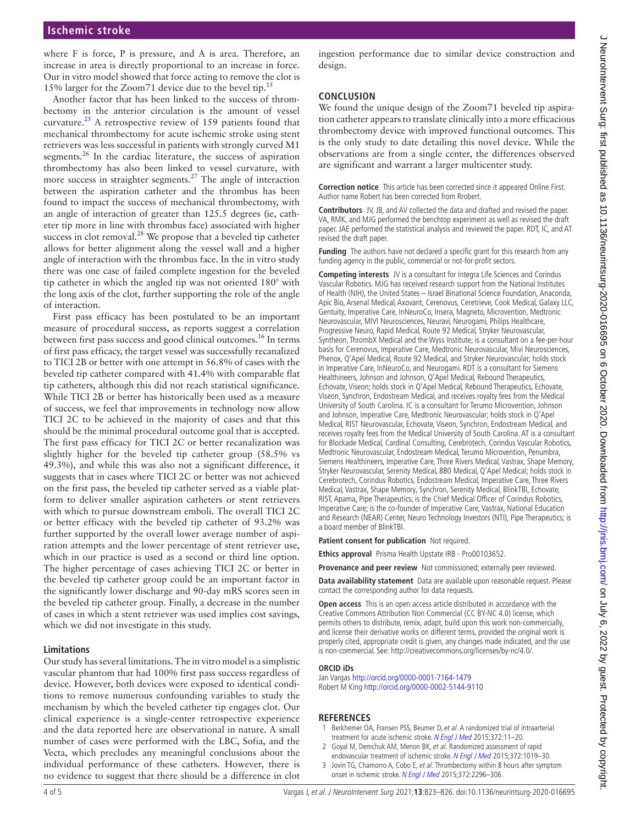## **Ischemic stroke**

where F is force, P is pressure, and A is area. Therefore, an increase in area is directly proportional to an increase in force. Our in vitro model showed that force acting to remove the clot is 15% larger for the Zoom71 device due to the bevel tip.<sup>11</sup>

Another factor that has been linked to the success of thrombectomy in the anterior circulation is the amount of vessel curvature[.25](#page-4-9) A retrospective review of 159 patients found that mechanical thrombectomy for acute ischemic stroke using stent retrievers was less successful in patients with strongly curved M1 segments. $26$  In the cardiac literature, the success of aspiration thrombectomy has also been linked to vessel curvature, with more success in straighter segments.<sup>[27](#page-4-11)</sup> The angle of interaction between the aspiration catheter and the thrombus has been found to impact the success of mechanical thrombectomy, with an angle of interaction of greater than 125.5 degrees (ie, catheter tip more in line with thrombus face) associated with higher success in clot removal.<sup>28</sup> We propose that a beveled tip catheter allows for better alignment along the vessel wall and a higher angle of interaction with the thrombus face. In the in vitro study there was one case of failed complete ingestion for the beveled tip catheter in which the angled tip was not oriented 180° with the long axis of the clot, further supporting the role of the angle of interaction.

First pass efficacy has been postulated to be an important measure of procedural success, as reports suggest a correlation between first pass success and good clinical outcomes.<sup>16</sup> In terms of first pass efficacy, the target vessel was successfully recanalized to TICI 2B or better with one attempt in 56.8% of cases with the beveled tip catheter compared with 41.4% with comparable flat tip catheters, although this did not reach statistical significance. While TICI 2B or better has historically been used as a measure of success, we feel that improvements in technology now allow TICI 2C to be achieved in the majority of cases and that this should be the minimal procedural outcome goal that is accepted. The first pass efficacy for TICI 2C or better recanalization was slightly higher for the beveled tip catheter group (58.5% vs 49.3%), and while this was also not a significant difference, it suggests that in cases where TICI 2C or better was not achieved on the first pass, the beveled tip catheter served as a viable platform to deliver smaller aspiration catheters or stent retrievers with which to pursue downstream emboli. The overall TICI 2C or better efficacy with the beveled tip catheter of 93.2% was further supported by the overall lower average number of aspiration attempts and the lower percentage of stent retriever use, which in our practice is used as a second or third line option. The higher percentage of cases achieving TICI 2C or better in the beveled tip catheter group could be an important factor in the significantly lower discharge and 90-day mRS scores seen in the beveled tip catheter group. Finally, a decrease in the number of cases in which a stent retriever was used implies cost savings, which we did not investigate in this study.

## **Limitations**

Our study has several limitations. The in vitro model is a simplistic vascular phantom that had 100% first pass success regardless of device. However, both devices were exposed to identical conditions to remove numerous confounding variables to study the mechanism by which the beveled catheter tip engages clot. Our clinical experience is a single-center retrospective experience and the data reported here are observational in nature. A small number of cases were performed with the LBC, Sofia, and the Vecta, which precludes any meaningful conclusions about the individual performance of these catheters. However, there is no evidence to suggest that there should be a difference in clot

ingestion performance due to similar device construction and design.

## **CONCLUSION**

We found the unique design of the Zoom71 beveled tip aspiration catheter appears to translate clinically into a more efficacious thrombectomy device with improved functional outcomes. This is the only study to date detailing this novel device. While the observations are from a single center, the differences observed are significant and warrant a larger multicenter study.

**Correction notice** This article has been corrected since it appeared Online First. Author name Robert has been corrected from Rrobert.

**Contributors** JV, JB, and AV collected the data and drafted and revised the paper. VA, RMK, and MJG performed the benchtop experiment as well as revised the draft paper. JAE performed the statistical analysis and reviewed the paper. RDT, IC, and AT revised the draft paper.

**Funding** The authors have not declared a specific grant for this research from any funding agency in the public, commercial or not-for-profit sectors.

**Competing interests** JV is a consultant for Integra Life Sciences and Corindus Vascular Robotics. MJG has received research support from the National Institutes of Health (NIH), the United States – Israel Binational Science Foundation, Anaconda, Apic Bio, Arsenal Medical, Axovant, Cerenovus, Ceretrieve, Cook Medical, Galaxy LLC, Gentuity, Imperative Care, InNeuroCo, Insera, Magneto, Microvention, Medtronic Neurovascular, MIVI Neurosciences, Neuravi, Neurogami, Philips Healthcare, Progressive Neuro, Rapid Medical, Route 92 Medical, Stryker Neurovascular, Syntheon, ThrombX Medical and the Wyss Institute; is a consultant on a fee-per-hour basis for Cerenovus, Imperative Care, Medtronic Neurovascular, Mivi Neurosciences, Phenox, Q'Apel Medical, Route 92 Medical, and Stryker Neurovascular; holds stock in Imperative Care, InNeuroCo, and Neurogami. RDT is a consultant for Siemens Healthineers, Johnson and Johnson, Q'Apel Medical, Rebound Therapeutics, Echovate, Viseon; holds stock in Q'Apel Medical, Rebound Therapeutics, Echovate, Viseon, Synchron, Endostream Medical, and receives royalty fees from the Medical University of South Carolina. IC is a consultant for Terumo Microvention, Johnson and Johnson, Imperative Care, Medtronic Neurovascular; holds stock in Q'Apel Medical, RIST Neurovascular, Echovate, Viseon, Synchron, Endostream Medical, and receives royalty fees from the Medical University of South Carolina. AT is a consultant for Blockade Medical, Cardinal Consulting, Cerebrotech, Corindus Vascular Robotics, Medtronic Neurovascular, Endostream Medical, Terumo Microvention, Penumbra, Siemens Healthineers, Imperative Care, Three Rivers Medical, Vastrax, Shape Memory, Stryker Neurovascular, Serenity Medical, 880 Medical, Q'Apel Medical; holds stock in Cerebrotech, Corindus Robotics, Endostream Medical, Imperative Care, Three Rivers Medical, Vastrax, Shape Memory, Synchron, Serenity Medical, BlinkTBI, Echovate, RIST, Apama, Pipe Therapeutics; is the Chief Medical Officer of Corindus Robotics, Imperative Care; is the co-founder of Imperative Care, Vastrax, National Education and Research (NEAR) Center, Neuro Technology Investors (NTI), Pipe Therapeutics; is a board member of BlinkTBI.

**Patient consent for publication** Not required.

**Ethics approval** Prisma Health Upstate IRB - Pro00103652.

**Provenance and peer review** Not commissioned; externally peer reviewed.

**Data availability statement** Data are available upon reasonable request. Please contact the corresponding author for data requests.

**Open access** This is an open access article distributed in accordance with the Creative Commons Attribution Non Commercial (CC BY-NC 4.0) license, which permits others to distribute, remix, adapt, build upon this work non-commercially, and license their derivative works on different terms, provided the original work is properly cited, appropriate credit is given, any changes made indicated, and the use is non-commercial. See: [http://creativecommons.org/licenses/by-nc/4.0/.](http://creativecommons.org/licenses/by-nc/4.0/)

#### **ORCID iDs**

Jan Vargas<http://orcid.org/0000-0001-7164-1479> Robert M King <http://orcid.org/0000-0002-5144-9110>

## **REFERENCES**

- <span id="page-3-0"></span>1 Berkhemer OA, Fransen PSS, Beumer D, et al. A randomized trial of intraarterial treatment for acute ischemic stroke. [N Engl J Med](http://dx.doi.org/10.1056/NEJMoa1411587) 2015;372:11-20.
- 2 Goyal M, Demchuk AM, Menon BK, et al. Randomized assessment of rapid endovascular treatment of ischemic stroke. [N Engl J Med](http://dx.doi.org/10.1056/NEJMoa1414905) 2015;372:1019-30.
- 3 Jovin TG, Chamorro A, Cobo E, et al. Thrombectomy within 8 hours after symptom onset in ischemic stroke. [N Engl J Med](http://dx.doi.org/10.1056/NEJMoa1503780) 2015;372:2296-306.